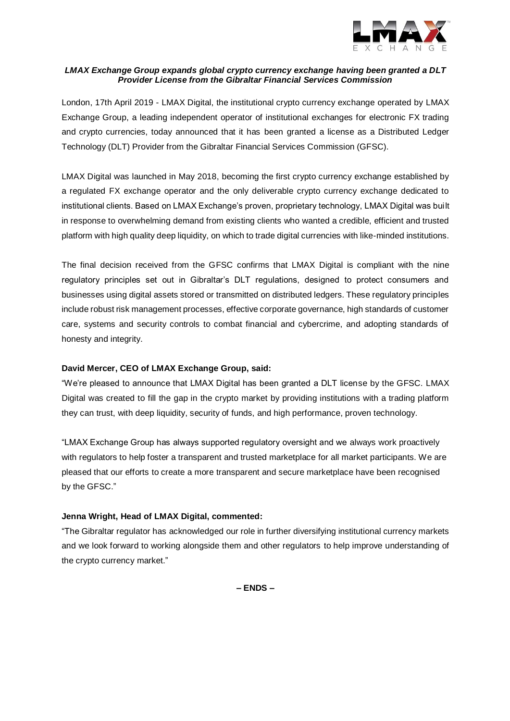

# *LMAX Exchange Group expands global crypto currency exchange having been granted a DLT Provider License from the Gibraltar Financial Services Commission*

London, 17th April 2019 - [LMAX Digital,](http://www.lmaxdigital.com/) the institutional crypto currency exchange operated by [LMAX](http://www.lmax.com/)  [Exchange Group,](http://www.lmax.com/) a leading independent operator of institutional exchanges for electronic FX trading and crypto currencies, today announced that it has been granted a license as a Distributed Ledger Technology (DLT) Provider from the Gibraltar Financial Services Commission (GFSC).

LMAX Digital was launched in May 2018, becoming the first crypto currency exchange established by a regulated FX exchange operator and the only deliverable crypto currency exchange dedicated to institutional clients. Based on LMAX Exchange's proven, proprietary technology, LMAX Digital was built in response to overwhelming demand from existing clients who wanted a credible, efficient and trusted platform with high quality deep liquidity, on which to trade digital currencies with like-minded institutions.

The final decision received from the GFSC confirms that LMAX Digital is compliant with the nine regulatory principles set out in Gibraltar's DLT regulations, designed to protect consumers and businesses using digital assets stored or transmitted on distributed ledgers. These regulatory principles include robust risk management processes, effective corporate governance, high standards of customer care, systems and security controls to combat financial and cybercrime, and adopting standards of honesty and integrity.

# **David Mercer, CEO of LMAX Exchange Group, said:**

"We're pleased to announce that LMAX Digital has been granted a DLT license by the GFSC. LMAX Digital was created to fill the gap in the crypto market by providing institutions with a trading platform they can trust, with deep liquidity, security of funds, and high performance, proven technology.

"LMAX Exchange Group has always supported regulatory oversight and we always work proactively with regulators to help foster a transparent and trusted marketplace for all market participants. We are pleased that our efforts to create a more transparent and secure marketplace have been recognised by the GFSC."

# **Jenna Wright, Head of LMAX Digital, commented:**

"The Gibraltar regulator has acknowledged our role in further diversifying institutional currency markets and we look forward to working alongside them and other regulators to help improve understanding of the crypto currency market."

**– ENDS –**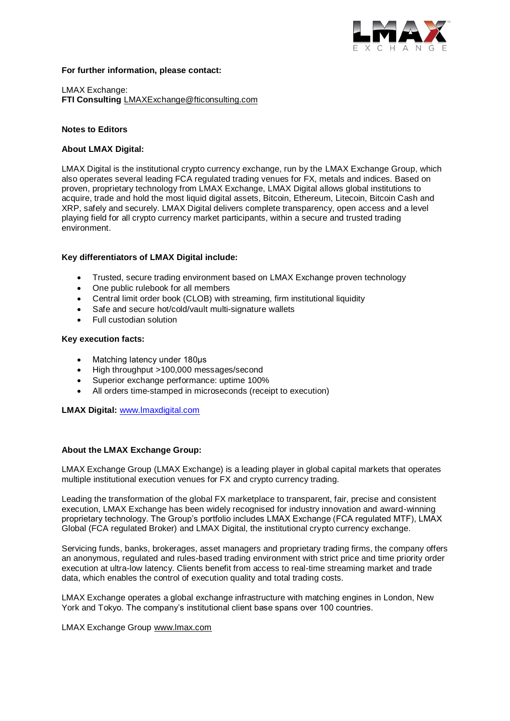

#### **For further information, please contact:**

LMAX Exchange: **FTI Consulting** [LMAXExchange@fticonsulting.com](mailto:LMAXExchange@fticonsulting.com)

## **Notes to Editors**

### **About LMAX Digital:**

[LMAX Digital](http://www.lmaxdigital.com/) is the institutional crypto currency exchange, run by the [LMAX Exchange Group,](http://www.lmax.com/) which also operates several leading FCA regulated trading venues for FX, metals and indices. Based on proven, proprietary technology from LMAX Exchange, LMAX Digital allows global institutions to acquire, trade and hold the most liquid digital assets, Bitcoin, Ethereum, Litecoin, Bitcoin Cash and XRP, safely and securely. LMAX Digital delivers complete transparency, open access and a level playing field for all crypto currency market participants, within a secure and trusted trading environment.

## **Key differentiators of LMAX Digital include:**

- Trusted, secure trading environment based on LMAX Exchange proven technology
- One public rulebook for all members
- Central limit order book (CLOB) with streaming, firm institutional liquidity
- Safe and secure hot/cold/vault multi-signature wallets
- Full custodian solution

#### **Key execution facts:**

- Matching latency under 180μs
- High throughput >100,000 messages/second
- Superior exchange performance: uptime 100%
- All orders time-stamped in microseconds (receipt to execution)

**LMAX Digital:** [www.lmaxdigital.com](http://www.lmaxdigital.com/)

#### **About the LMAX Exchange Group:**

LMAX Exchange Group (LMAX Exchange) is a leading player in global capital markets that operates multiple institutional execution venues for FX and crypto currency trading.

Leading the transformation of the global FX marketplace to transparent, fair, precise and consistent execution, LMAX Exchange has been widely recognised for industry innovation and award-winning proprietary technology. The Group's portfolio includes LMAX Exchange (FCA regulated MTF), LMAX Global (FCA regulated Broker) and LMAX Digital, the institutional crypto currency exchange.

Servicing funds, banks, brokerages, asset managers and proprietary trading firms, the company offers an anonymous, regulated and rules-based trading environment with strict price and time priority order execution at ultra-low latency. Clients benefit from access to real-time streaming market and trade data, which enables the control of execution quality and total trading costs.

LMAX Exchange operates a global exchange infrastructure with matching engines in London, New York and Tokyo. The company's institutional client base spans over 100 countries.

LMAX Exchange Group [www.lmax.com](http://www.lmax.com/)